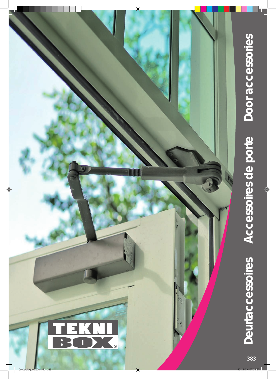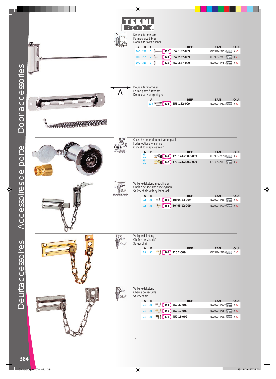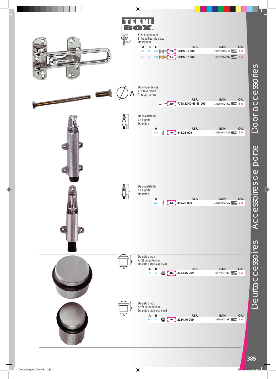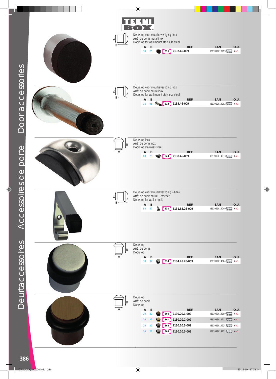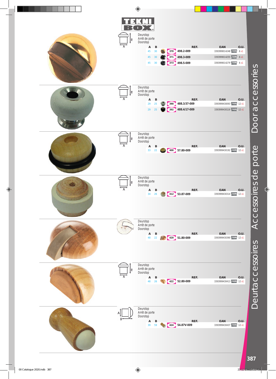